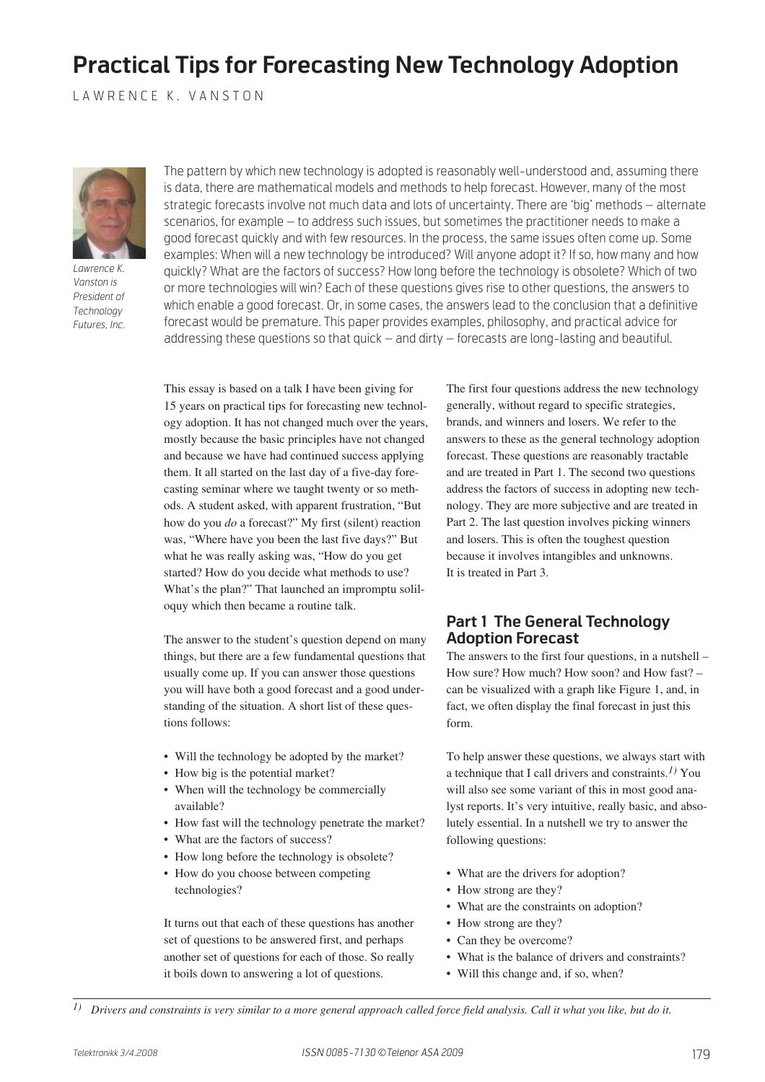# **Practical Tips for Forecasting New Technology Adoption**

LAWRENCE K. VANSTON



*Lawrence K. Vanston is President of Technology Futures, Inc.*

The pattern by which new technology is adopted is reasonably well-understood and, assuming there is data, there are mathematical models and methods to help forecast. However, many of the most strategic forecasts involve not much data and lots of uncertainty. There are 'big' methods – alternate scenarios, for example – to address such issues, but sometimes the practitioner needs to make a good forecast quickly and with few resources. In the process, the same issues often come up. Some examples: When will a new technology be introduced? Will anyone adopt it? If so, how many and how quickly? What are the factors of success? How long before the technology is obsolete? Which of two or more technologies will win? Each of these questions gives rise to other questions, the answers to which enable a good forecast. Or, in some cases, the answers lead to the conclusion that a definitive forecast would be premature. This paper provides examples, philosophy, and practical advice for addressing these questions so that quick – and dirty – forecasts are long-lasting and beautiful.

This essay is based on a talk I have been giving for 15 years on practical tips for forecasting new technology adoption. It has not changed much over the years, mostly because the basic principles have not changed and because we have had continued success applying them. It all started on the last day of a five-day forecasting seminar where we taught twenty or so methods. A student asked, with apparent frustration, "But how do you *do* a forecast?" My first (silent) reaction was, "Where have you been the last five days?" But what he was really asking was, "How do you get started? How do you decide what methods to use? What's the plan?" That launched an impromptu soliloquy which then became a routine talk.

The answer to the student's question depend on many things, but there are a few fundamental questions that usually come up. If you can answer those questions you will have both a good forecast and a good understanding of the situation. A short list of these questions follows:

- Will the technology be adopted by the market?
- How big is the potential market?
- When will the technology be commercially available?
- How fast will the technology penetrate the market?
- What are the factors of success?
- How long before the technology is obsolete?
- How do you choose between competing technologies?

It turns out that each of these questions has another set of questions to be answered first, and perhaps another set of questions for each of those. So really it boils down to answering a lot of questions.

The first four questions address the new technology generally, without regard to specific strategies, brands, and winners and losers. We refer to the answers to these as the general technology adoption forecast. These questions are reasonably tractable and are treated in Part 1. The second two questions address the factors of success in adopting new technology. They are more subjective and are treated in Part 2. The last question involves picking winners and losers. This is often the toughest question because it involves intangibles and unknowns. It is treated in Part 3.

## **Part 1 The General Technology Adoption Forecast**

The answers to the first four questions, in a nutshell – How sure? How much? How soon? and How fast? – can be visualized with a graph like Figure 1, and, in fact, we often display the final forecast in just this form.

To help answer these questions, we always start with a technique that I call drivers and constraints.*1)* You will also see some variant of this in most good analyst reports. It's very intuitive, really basic, and absolutely essential. In a nutshell we try to answer the following questions:

- What are the drivers for adoption?
- How strong are they?
- What are the constraints on adoption?
- How strong are they?
- Can they be overcome?
- What is the balance of drivers and constraints?
- Will this change and, if so, when?

*1) Drivers and constraints is very similar to a more general approach called force field analysis. Call it what you like, but do it.*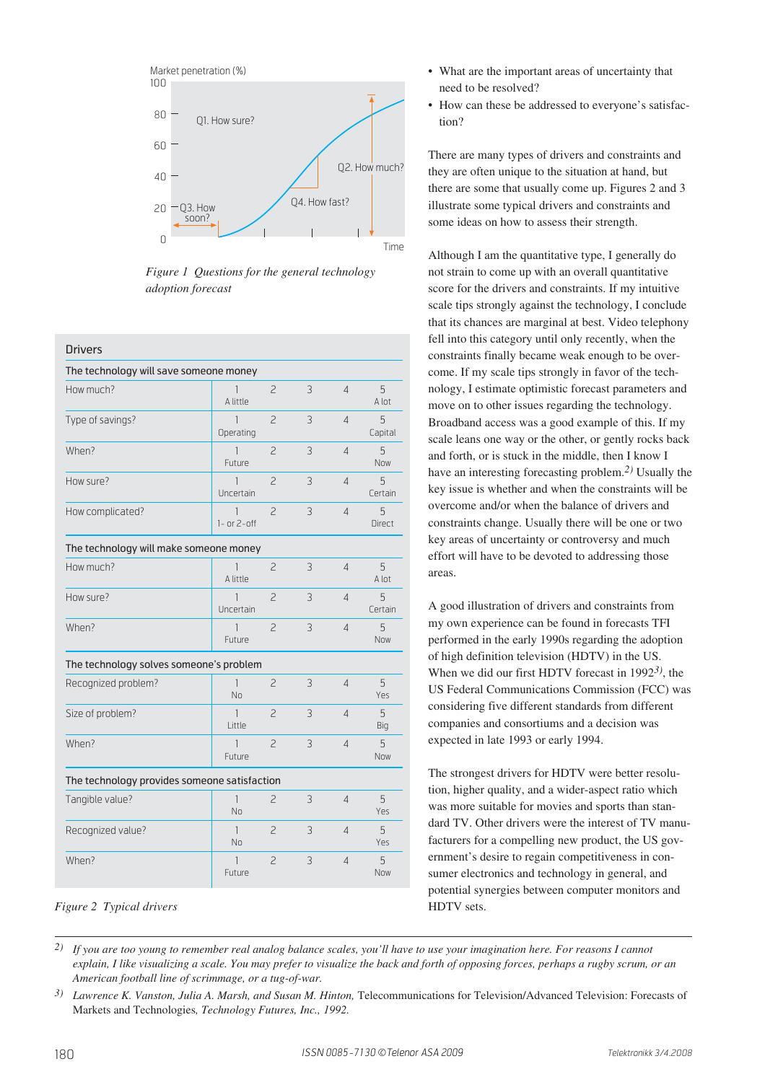

*Figure 1 Questions for the general technology adoption forecast*

#### **Drivers**

| The technology will save someone money       |                           |                |   |                |                    |
|----------------------------------------------|---------------------------|----------------|---|----------------|--------------------|
| How much?                                    | 1<br>A little             | $\overline{c}$ | 3 | $\overline{4}$ | 5<br>A lot         |
| Type of savings?                             | 1<br>Operating            | $\overline{c}$ | 3 | $\overline{4}$ | 5<br>Capital       |
| When?                                        | 1<br>Future               | $\overline{c}$ | 3 | $\overline{4}$ | 5<br><b>Now</b>    |
| How sure?                                    | 1<br>Uncertain            | $\overline{c}$ | 3 | $\overline{4}$ | 5<br>Certain       |
| How complicated?                             | 1<br>$1-$ or $2-$ off     | $\overline{c}$ | 3 | $\overline{4}$ | 5<br><b>Direct</b> |
| The technology will make someone money       |                           |                |   |                |                    |
| How much?                                    | 1<br>A little             | $\overline{c}$ | 3 | $\overline{4}$ | 5<br>A lot         |
| How sure?                                    | 1<br>Uncertain            | $\overline{c}$ | 3 | $\overline{4}$ | 5<br>Certain       |
| When?                                        | 1<br>Future               | $\overline{c}$ | 3 | $\overline{4}$ | 5<br><b>Now</b>    |
| The technology solves someone's problem      |                           |                |   |                |                    |
| Recognized problem?                          | $\mathbf{1}$<br><b>No</b> | $\overline{c}$ | 3 | $\overline{4}$ | 5<br>Yes           |
| Size of problem?                             | 1<br>Little               | $\overline{c}$ | 3 | $\overline{4}$ | 5<br>Big           |
| When?                                        | 1<br>Future               | $\overline{c}$ | 3 | $\overline{4}$ | 5<br>Now           |
| The technology provides someone satisfaction |                           |                |   |                |                    |
| Tangible value?                              | 1<br><b>No</b>            | 2              | 3 | $\overline{4}$ | 5<br>Yes           |
| Recognized value?                            | $\mathbf{1}$<br>No.       | $\overline{c}$ | 3 | $\overline{4}$ | 5<br>Yes           |
| When?                                        | 1<br>Future               | $\overline{c}$ | 3 | $\overline{4}$ | 5<br><b>Now</b>    |

#### *Figure 2 Typical drivers*

- What are the important areas of uncertainty that need to be resolved?
- How can these be addressed to everyone's satisfaction?

There are many types of drivers and constraints and they are often unique to the situation at hand, but there are some that usually come up. Figures 2 and 3 illustrate some typical drivers and constraints and some ideas on how to assess their strength.

Although I am the quantitative type, I generally do not strain to come up with an overall quantitative score for the drivers and constraints. If my intuitive scale tips strongly against the technology, I conclude that its chances are marginal at best. Video telephony fell into this category until only recently, when the constraints finally became weak enough to be overcome. If my scale tips strongly in favor of the technology, I estimate optimistic forecast parameters and move on to other issues regarding the technology. Broadband access was a good example of this. If my scale leans one way or the other, or gently rocks back and forth, or is stuck in the middle, then I know I have an interesting forecasting problem.*2)* Usually the key issue is whether and when the constraints will be overcome and/or when the balance of drivers and constraints change. Usually there will be one or two key areas of uncertainty or controversy and much effort will have to be devoted to addressing those areas.

A good illustration of drivers and constraints from my own experience can be found in forecasts TFI performed in the early 1990s regarding the adoption of high definition television (HDTV) in the US. When we did our first HDTV forecast in 1992*3)*, the US Federal Communications Commission (FCC) was considering five different standards from different companies and consortiums and a decision was expected in late 1993 or early 1994.

The strongest drivers for HDTV were better resolution, higher quality, and a wider-aspect ratio which was more suitable for movies and sports than standard TV. Other drivers were the interest of TV manufacturers for a compelling new product, the US government's desire to regain competitiveness in consumer electronics and technology in general, and potential synergies between computer monitors and HDTV sets.

*2) If you are too young to remember real analog balance scales, you'll have to use your imagination here. For reasons I cannot explain, I like visualizing a scale. You may prefer to visualize the back and forth of opposing forces, perhaps a rugby scrum, or an American football line of scrimmage, or a tug-of-war.*

<sup>&</sup>lt;sup>3)</sup> *Lawrence K. Vanston, Julia A. Marsh, and Susan M. Hinton, Telecommunications for Television/Advanced Television: Forecasts of* Markets and Technologies*, Technology Futures, Inc., 1992.*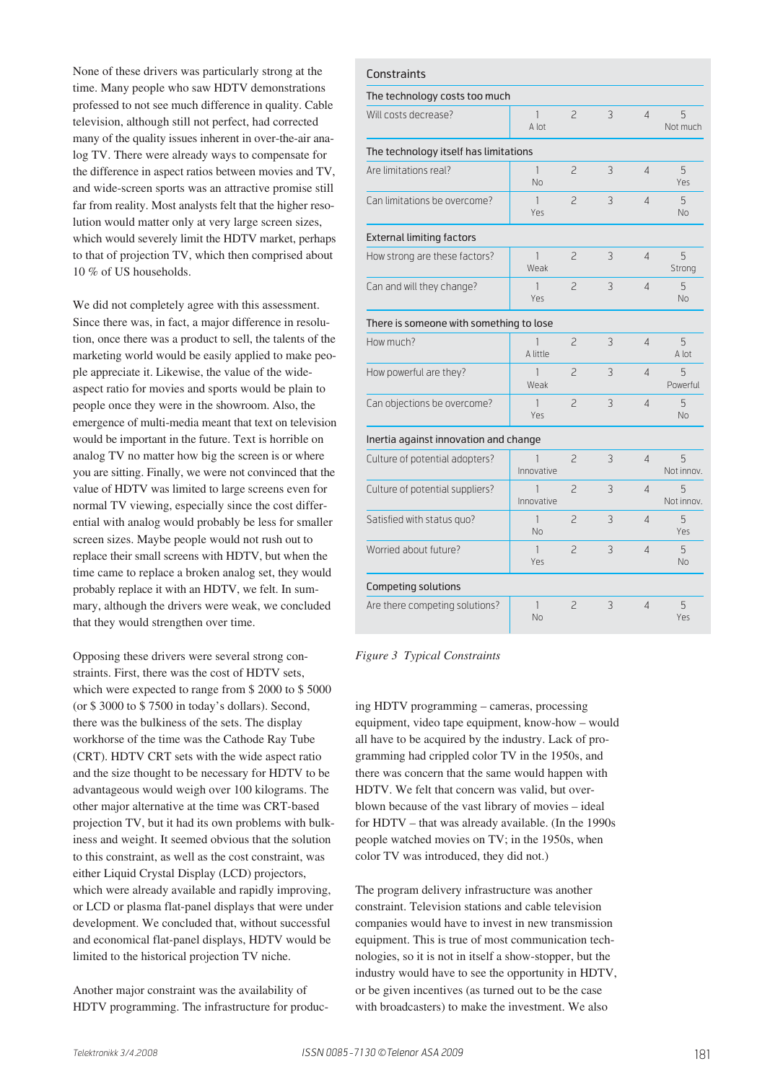None of these drivers was particularly strong at the time. Many people who saw HDTV demonstrations professed to not see much difference in quality. Cable television, although still not perfect, had corrected many of the quality issues inherent in over-the-air analog TV. There were already ways to compensate for the difference in aspect ratios between movies and TV, and wide-screen sports was an attractive promise still far from reality. Most analysts felt that the higher resolution would matter only at very large screen sizes, which would severely limit the HDTV market, perhaps to that of projection TV, which then comprised about 10 % of US households.

We did not completely agree with this assessment. Since there was, in fact, a major difference in resolution, once there was a product to sell, the talents of the marketing world would be easily applied to make people appreciate it. Likewise, the value of the wideaspect ratio for movies and sports would be plain to people once they were in the showroom. Also, the emergence of multi-media meant that text on television would be important in the future. Text is horrible on analog TV no matter how big the screen is or where you are sitting. Finally, we were not convinced that the value of HDTV was limited to large screens even for normal TV viewing, especially since the cost differential with analog would probably be less for smaller screen sizes. Maybe people would not rush out to replace their small screens with HDTV, but when the time came to replace a broken analog set, they would probably replace it with an HDTV, we felt. In summary, although the drivers were weak, we concluded that they would strengthen over time.

Opposing these drivers were several strong constraints. First, there was the cost of HDTV sets, which were expected to range from \$ 2000 to \$ 5000 (or \$ 3000 to \$ 7500 in today's dollars). Second, there was the bulkiness of the sets. The display workhorse of the time was the Cathode Ray Tube (CRT). HDTV CRT sets with the wide aspect ratio and the size thought to be necessary for HDTV to be advantageous would weigh over 100 kilograms. The other major alternative at the time was CRT-based projection TV, but it had its own problems with bulkiness and weight. It seemed obvious that the solution to this constraint, as well as the cost constraint, was either Liquid Crystal Display (LCD) projectors, which were already available and rapidly improving, or LCD or plasma flat-panel displays that were under development. We concluded that, without successful and economical flat-panel displays, HDTV would be limited to the historical projection TV niche.

Another major constraint was the availability of HDTV programming. The infrastructure for produc-

| Constraints                             |                       |                |   |                          |                 |  |  |  |
|-----------------------------------------|-----------------------|----------------|---|--------------------------|-----------------|--|--|--|
| The technology costs too much           |                       |                |   |                          |                 |  |  |  |
| Will costs decrease?                    | $\mathbf{1}$<br>A lot | 2              | 3 | $\overline{4}$           | 5<br>Not much   |  |  |  |
| The technology itself has limitations   |                       |                |   |                          |                 |  |  |  |
| Are limitations real?                   | $\mathbf{1}$<br>No    | $\overline{c}$ | 3 | $\overline{4}$           | 5<br>Yes        |  |  |  |
| Can limitations be overcome?            | 1<br>Yes              | $\overline{c}$ | 3 | $\overline{A}$           | 5<br>No         |  |  |  |
| <b>External limiting factors</b>        |                       |                |   |                          |                 |  |  |  |
| How strong are these factors?           | $\mathbf{1}$<br>Weak  | $\overline{c}$ | 3 | $\overline{4}$           | 5<br>Strong     |  |  |  |
| Can and will they change?               | 1<br>Yes              | $\overline{c}$ | 3 | $\overline{4}$           | 5<br><b>No</b>  |  |  |  |
| There is someone with something to lose |                       |                |   |                          |                 |  |  |  |
| How much?                               | 1<br>A little         | $\overline{c}$ | 3 | $\overline{4}$           | 5<br>A lot      |  |  |  |
| How powerful are they?                  | 1<br>Weak             | 2              | 3 | $\overline{\mathcal{L}}$ | 5<br>Powerful   |  |  |  |
| Can objections be overcome?             | 1<br>Yes              | $\overline{c}$ | 3 | $\overline{4}$           | 5<br>No         |  |  |  |
| Inertia against innovation and change   |                       |                |   |                          |                 |  |  |  |
| Culture of potential adopters?          | 1<br>Innovative       | 2              | 3 | $\overline{4}$           | 5<br>Not innov. |  |  |  |
| Culture of potential suppliers?         | 1<br>Innovative       | $\overline{c}$ | 3 | $\overline{A}$           | 5<br>Not innov. |  |  |  |
| Satisfied with status quo?              | $\mathbf{1}$<br>No    | $\overline{c}$ | 3 | $\overline{4}$           | 5<br>Yes        |  |  |  |
| Worried about future?                   | $\mathbf{1}$<br>Yes   | $\overline{c}$ | 3 | $\overline{A}$           | 5<br><b>No</b>  |  |  |  |
| <b>Competing solutions</b>              |                       |                |   |                          |                 |  |  |  |
| Are there competing solutions?          | $\mathbf{1}$<br>No    | $\overline{c}$ | 3 | $\overline{4}$           | 5<br>Yes        |  |  |  |

*Figure 3 Typical Constraints*

ing HDTV programming – cameras, processing equipment, video tape equipment, know-how – would all have to be acquired by the industry. Lack of programming had crippled color TV in the 1950s, and there was concern that the same would happen with HDTV. We felt that concern was valid, but overblown because of the vast library of movies – ideal for HDTV – that was already available. (In the 1990s people watched movies on TV; in the 1950s, when color TV was introduced, they did not.)

The program delivery infrastructure was another constraint. Television stations and cable television companies would have to invest in new transmission equipment. This is true of most communication technologies, so it is not in itself a show-stopper, but the industry would have to see the opportunity in HDTV, or be given incentives (as turned out to be the case with broadcasters) to make the investment. We also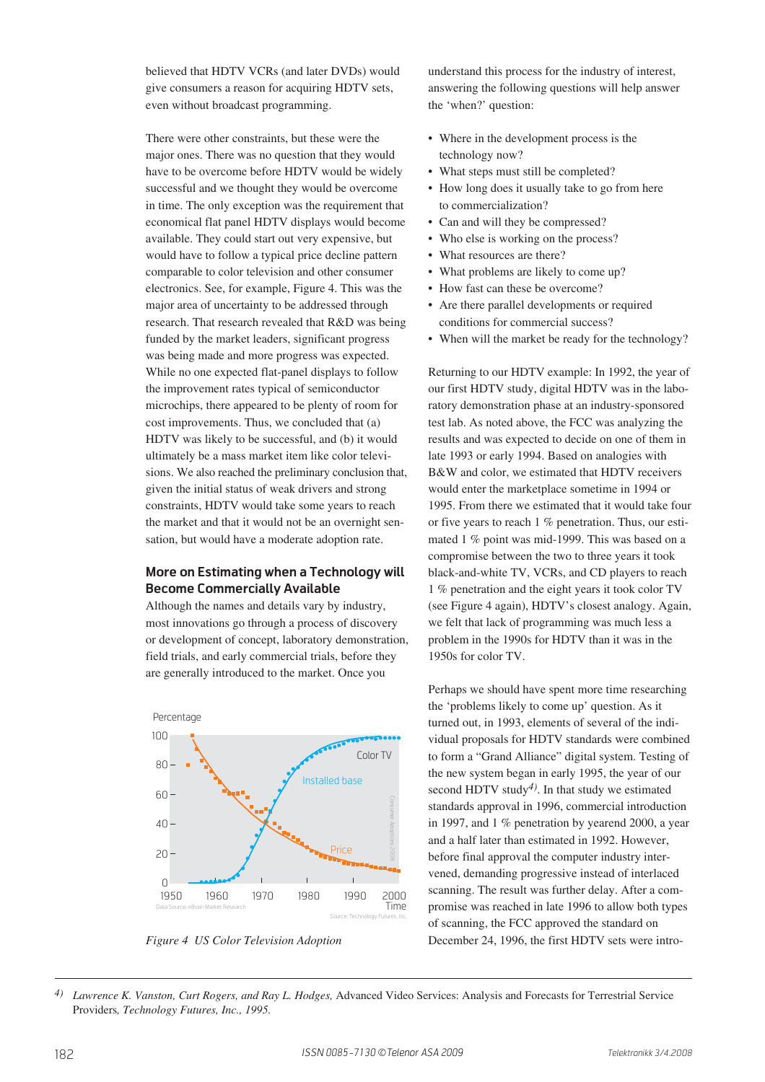believed that HDTV VCRs (and later DVDs) would give consumers a reason for acquiring HDTV sets, even without broadcast programming.

There were other constraints, but these were the major ones. There was no question that they would have to be overcome before HDTV would be widely successful and we thought they would be overcome in time. The only exception was the requirement that economical flat panel HDTV displays would become available. They could start out very expensive, but would have to follow a typical price decline pattern comparable to color television and other consumer electronics. See, for example, Figure 4. This was the major area of uncertainty to be addressed through research. That research revealed that R&D was being funded by the market leaders, significant progress was being made and more progress was expected. While no one expected flat-panel displays to follow the improvement rates typical of semiconductor microchips, there appeared to be plenty of room for cost improvements. Thus, we concluded that (a) HDTV was likely to be successful, and (b) it would ultimately be a mass market item like color televisions. We also reached the preliminary conclusion that, given the initial status of weak drivers and strong constraints, HDTV would take some years to reach the market and that it would not be an overnight sensation, but would have a moderate adoption rate.

#### **More on Estimating when a Technology will Become Commercially Available**

Although the names and details vary by industry, most innovations go through a process of discovery or development of concept, laboratory demonstration, field trials, and early commercial trials, before they are generally introduced to the market. Once you



understand this process for the industry of interest, answering the following questions will help answer the 'when?' question:

- Where in the development process is the technology now?
- What steps must still be completed?
- How long does it usually take to go from here to commercialization?
- Can and will they be compressed?
- Who else is working on the process?
- What resources are there?
- What problems are likely to come up?
- How fast can these be overcome?
- Are there parallel developments or required conditions for commercial success?
- When will the market be ready for the technology?

Returning to our HDTV example: In 1992, the year of our first HDTV study, digital HDTV was in the laboratory demonstration phase at an industry-sponsored test lab. As noted above, the FCC was analyzing the results and was expected to decide on one of them in late 1993 or early 1994. Based on analogies with B&W and color, we estimated that HDTV receivers would enter the marketplace sometime in 1994 or 1995. From there we estimated that it would take four or five years to reach 1 % penetration. Thus, our estimated 1 % point was mid-1999. This was based on a compromise between the two to three years it took black-and-white TV, VCRs, and CD players to reach 1 % penetration and the eight years it took color TV (see Figure 4 again), HDTV's closest analogy. Again, we felt that lack of programming was much less a problem in the 1990s for HDTV than it was in the 1950s for color TV.

Perhaps we should have spent more time researching the 'problems likely to come up' question. As it turned out, in 1993, elements of several of the individual proposals for HDTV standards were combined to form a "Grand Alliance" digital system. Testing of the new system began in early 1995, the year of our second HDTV study*4)*. In that study we estimated standards approval in 1996, commercial introduction in 1997, and 1 % penetration by yearend 2000, a year and a half later than estimated in 1992. However, before final approval the computer industry intervened, demanding progressive instead of interlaced scanning. The result was further delay. After a compromise was reached in late 1996 to allow both types of scanning, the FCC approved the standard on *Figure 4 US Color Television Adoption* December 24, 1996, the first HDTV sets were intro-

*<sup>4)</sup> Lawrence K. Vanston, Curt Rogers, and Ray L. Hodges,* Advanced Video Services: Analysis and Forecasts for Terrestrial Service Providers*, Technology Futures, Inc., 1995.*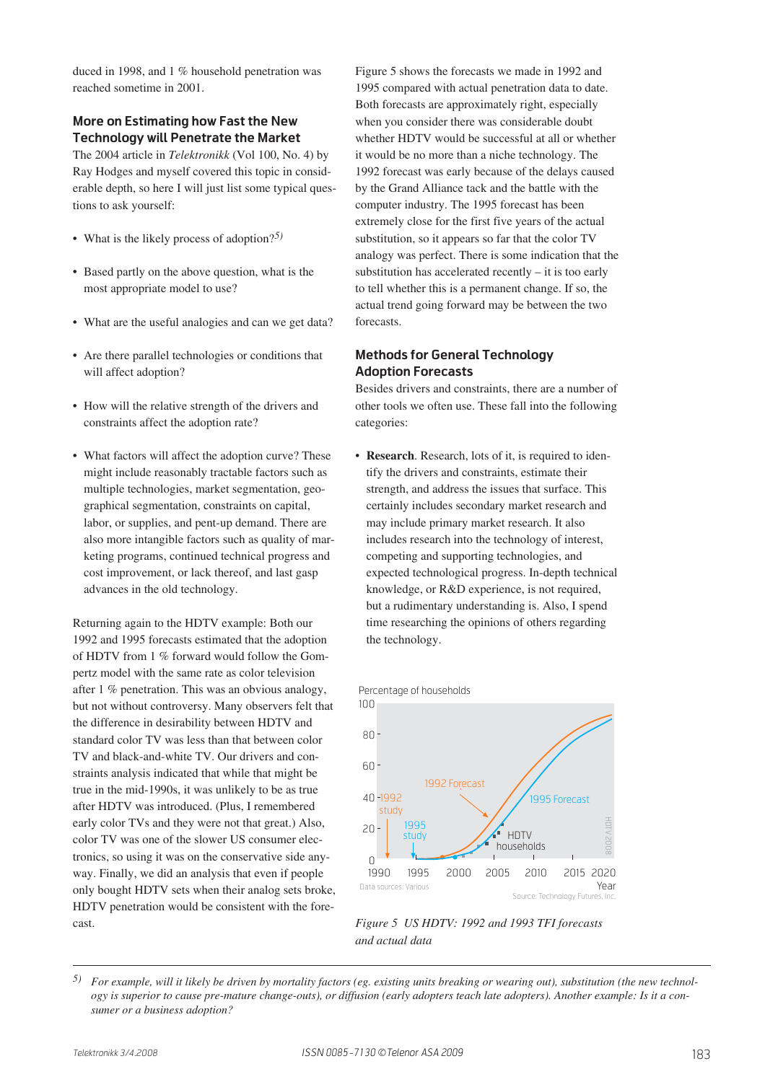duced in 1998, and 1 % household penetration was reached sometime in 2001.

## **More on Estimating how Fast the New Technology will Penetrate the Market**

The 2004 article in *Telektronikk* (Vol 100, No. 4) by Ray Hodges and myself covered this topic in considerable depth, so here I will just list some typical questions to ask yourself:

- What is the likely process of adoption?*5)*
- Based partly on the above question, what is the most appropriate model to use?
- What are the useful analogies and can we get data?
- Are there parallel technologies or conditions that will affect adoption?
- How will the relative strength of the drivers and constraints affect the adoption rate?
- What factors will affect the adoption curve? These might include reasonably tractable factors such as multiple technologies, market segmentation, geographical segmentation, constraints on capital, labor, or supplies, and pent-up demand. There are also more intangible factors such as quality of marketing programs, continued technical progress and cost improvement, or lack thereof, and last gasp advances in the old technology.

Returning again to the HDTV example: Both our 1992 and 1995 forecasts estimated that the adoption of HDTV from 1 % forward would follow the Gompertz model with the same rate as color television after 1 % penetration. This was an obvious analogy, but not without controversy. Many observers felt that the difference in desirability between HDTV and standard color TV was less than that between color TV and black-and-white TV. Our drivers and constraints analysis indicated that while that might be true in the mid-1990s, it was unlikely to be as true after HDTV was introduced. (Plus, I remembered early color TVs and they were not that great.) Also, color TV was one of the slower US consumer electronics, so using it was on the conservative side anyway. Finally, we did an analysis that even if people only bought HDTV sets when their analog sets broke, HDTV penetration would be consistent with the forecast.

Figure 5 shows the forecasts we made in 1992 and 1995 compared with actual penetration data to date. Both forecasts are approximately right, especially when you consider there was considerable doubt whether HDTV would be successful at all or whether it would be no more than a niche technology. The 1992 forecast was early because of the delays caused by the Grand Alliance tack and the battle with the computer industry. The 1995 forecast has been extremely close for the first five years of the actual substitution, so it appears so far that the color TV analogy was perfect. There is some indication that the substitution has accelerated recently – it is too early to tell whether this is a permanent change. If so, the actual trend going forward may be between the two forecasts.

## **Methods for General Technology Adoption Forecasts**

Besides drivers and constraints, there are a number of other tools we often use. These fall into the following categories:

• **Research**. Research, lots of it, is required to identify the drivers and constraints, estimate their strength, and address the issues that surface. This certainly includes secondary market research and may include primary market research. It also includes research into the technology of interest, competing and supporting technologies, and expected technological progress. In-depth technical knowledge, or R&D experience, is not required, but a rudimentary understanding is. Also, I spend time researching the opinions of others regarding the technology.





#### *Figure 5 US HDTV: 1992 and 1993 TFI forecasts and actual data*

*<sup>5)</sup> For example, will it likely be driven by mortality factors (eg. existing units breaking or wearing out), substitution (the new technology is superior to cause pre-mature change-outs), or diffusion (early adopters teach late adopters). Another example: Is it a consumer or a business adoption?*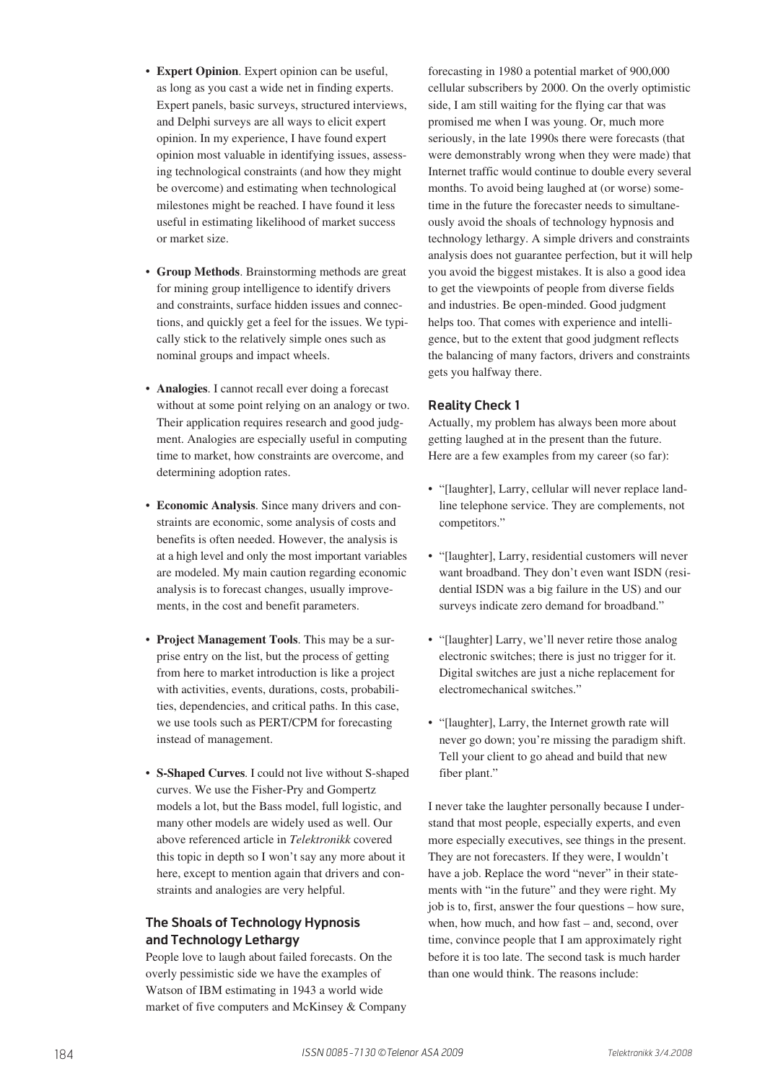- **Expert Opinion**. Expert opinion can be useful, as long as you cast a wide net in finding experts. Expert panels, basic surveys, structured interviews, and Delphi surveys are all ways to elicit expert opinion. In my experience, I have found expert opinion most valuable in identifying issues, assessing technological constraints (and how they might be overcome) and estimating when technological milestones might be reached. I have found it less useful in estimating likelihood of market success or market size.
- **Group Methods**. Brainstorming methods are great for mining group intelligence to identify drivers and constraints, surface hidden issues and connections, and quickly get a feel for the issues. We typically stick to the relatively simple ones such as nominal groups and impact wheels.
- **Analogies**. I cannot recall ever doing a forecast without at some point relying on an analogy or two. Their application requires research and good judgment. Analogies are especially useful in computing time to market, how constraints are overcome, and determining adoption rates.
- **Economic Analysis**. Since many drivers and constraints are economic, some analysis of costs and benefits is often needed. However, the analysis is at a high level and only the most important variables are modeled. My main caution regarding economic analysis is to forecast changes, usually improvements, in the cost and benefit parameters.
- **Project Management Tools**. This may be a surprise entry on the list, but the process of getting from here to market introduction is like a project with activities, events, durations, costs, probabilities, dependencies, and critical paths. In this case, we use tools such as PERT/CPM for forecasting instead of management.
- **S-Shaped Curves**. I could not live without S-shaped curves. We use the Fisher-Pry and Gompertz models a lot, but the Bass model, full logistic, and many other models are widely used as well. Our above referenced article in *Telektronikk* covered this topic in depth so I won't say any more about it here, except to mention again that drivers and constraints and analogies are very helpful.

## **The Shoals of Technology Hypnosis and Technology Lethargy**

People love to laugh about failed forecasts. On the overly pessimistic side we have the examples of Watson of IBM estimating in 1943 a world wide market of five computers and McKinsey & Company forecasting in 1980 a potential market of 900,000 cellular subscribers by 2000. On the overly optimistic side, I am still waiting for the flying car that was promised me when I was young. Or, much more seriously, in the late 1990s there were forecasts (that were demonstrably wrong when they were made) that Internet traffic would continue to double every several months. To avoid being laughed at (or worse) sometime in the future the forecaster needs to simultaneously avoid the shoals of technology hypnosis and technology lethargy. A simple drivers and constraints analysis does not guarantee perfection, but it will help you avoid the biggest mistakes. It is also a good idea to get the viewpoints of people from diverse fields and industries. Be open-minded. Good judgment helps too. That comes with experience and intelligence, but to the extent that good judgment reflects the balancing of many factors, drivers and constraints gets you halfway there.

## **Reality Check 1**

Actually, my problem has always been more about getting laughed at in the present than the future. Here are a few examples from my career (so far):

- "[laughter], Larry, cellular will never replace landline telephone service. They are complements, not competitors."
- "[laughter], Larry, residential customers will never want broadband. They don't even want ISDN (residential ISDN was a big failure in the US) and our surveys indicate zero demand for broadband."
- "[laughter] Larry, we'll never retire those analog electronic switches; there is just no trigger for it. Digital switches are just a niche replacement for electromechanical switches."
- "[laughter], Larry, the Internet growth rate will never go down; you're missing the paradigm shift. Tell your client to go ahead and build that new fiber plant."

I never take the laughter personally because I understand that most people, especially experts, and even more especially executives, see things in the present. They are not forecasters. If they were, I wouldn't have a job. Replace the word "never" in their statements with "in the future" and they were right. My job is to, first, answer the four questions – how sure, when, how much, and how fast – and, second, over time, convince people that I am approximately right before it is too late. The second task is much harder than one would think. The reasons include: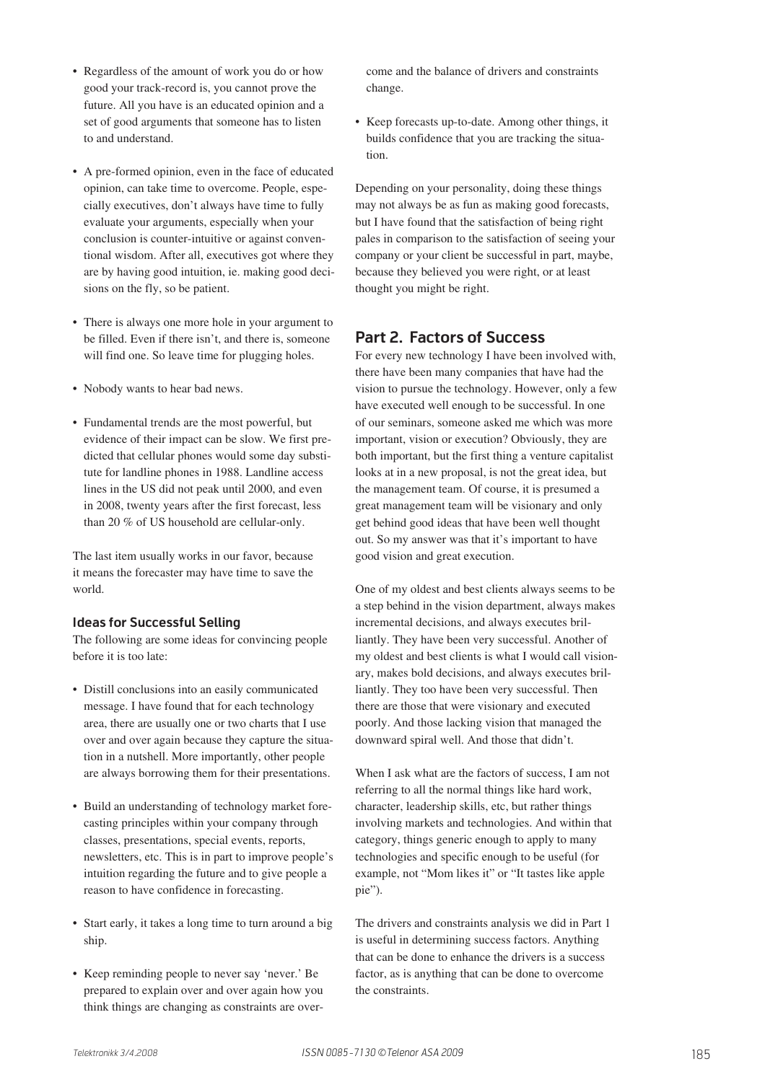- Regardless of the amount of work you do or how good your track-record is, you cannot prove the future. All you have is an educated opinion and a set of good arguments that someone has to listen to and understand.
- A pre-formed opinion, even in the face of educated opinion, can take time to overcome. People, especially executives, don't always have time to fully evaluate your arguments, especially when your conclusion is counter-intuitive or against conventional wisdom. After all, executives got where they are by having good intuition, ie. making good decisions on the fly, so be patient.
- There is always one more hole in your argument to be filled. Even if there isn't, and there is, someone will find one. So leave time for plugging holes.
- Nobody wants to hear bad news.
- Fundamental trends are the most powerful, but evidence of their impact can be slow. We first predicted that cellular phones would some day substitute for landline phones in 1988. Landline access lines in the US did not peak until 2000, and even in 2008, twenty years after the first forecast, less than 20 % of US household are cellular-only.

The last item usually works in our favor, because it means the forecaster may have time to save the world.

## **Ideas for Successful Selling**

The following are some ideas for convincing people before it is too late:

- Distill conclusions into an easily communicated message. I have found that for each technology area, there are usually one or two charts that I use over and over again because they capture the situation in a nutshell. More importantly, other people are always borrowing them for their presentations.
- Build an understanding of technology market forecasting principles within your company through classes, presentations, special events, reports, newsletters, etc. This is in part to improve people's intuition regarding the future and to give people a reason to have confidence in forecasting.
- Start early, it takes a long time to turn around a big ship.
- Keep reminding people to never say 'never.' Be prepared to explain over and over again how you think things are changing as constraints are over-

come and the balance of drivers and constraints change.

• Keep forecasts up-to-date. Among other things, it builds confidence that you are tracking the situation.

Depending on your personality, doing these things may not always be as fun as making good forecasts, but I have found that the satisfaction of being right pales in comparison to the satisfaction of seeing your company or your client be successful in part, maybe, because they believed you were right, or at least thought you might be right.

# **Part 2. Factors of Success**

For every new technology I have been involved with, there have been many companies that have had the vision to pursue the technology. However, only a few have executed well enough to be successful. In one of our seminars, someone asked me which was more important, vision or execution? Obviously, they are both important, but the first thing a venture capitalist looks at in a new proposal, is not the great idea, but the management team. Of course, it is presumed a great management team will be visionary and only get behind good ideas that have been well thought out. So my answer was that it's important to have good vision and great execution.

One of my oldest and best clients always seems to be a step behind in the vision department, always makes incremental decisions, and always executes brilliantly. They have been very successful. Another of my oldest and best clients is what I would call visionary, makes bold decisions, and always executes brilliantly. They too have been very successful. Then there are those that were visionary and executed poorly. And those lacking vision that managed the downward spiral well. And those that didn't.

When I ask what are the factors of success, I am not referring to all the normal things like hard work, character, leadership skills, etc, but rather things involving markets and technologies. And within that category, things generic enough to apply to many technologies and specific enough to be useful (for example, not "Mom likes it" or "It tastes like apple pie").

The drivers and constraints analysis we did in Part 1 is useful in determining success factors. Anything that can be done to enhance the drivers is a success factor, as is anything that can be done to overcome the constraints.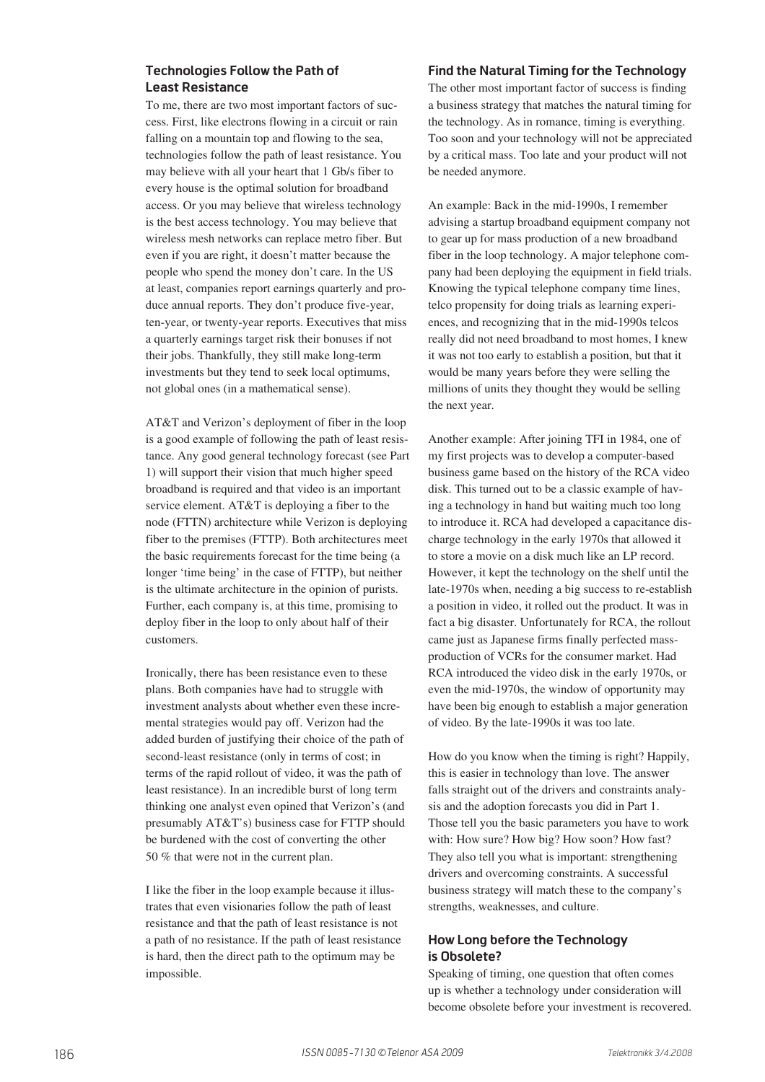## **Technologies Follow the Path of Least Resistance**

To me, there are two most important factors of success. First, like electrons flowing in a circuit or rain falling on a mountain top and flowing to the sea, technologies follow the path of least resistance. You may believe with all your heart that 1 Gb/s fiber to every house is the optimal solution for broadband access. Or you may believe that wireless technology is the best access technology. You may believe that wireless mesh networks can replace metro fiber. But even if you are right, it doesn't matter because the people who spend the money don't care. In the US at least, companies report earnings quarterly and produce annual reports. They don't produce five-year, ten-year, or twenty-year reports. Executives that miss a quarterly earnings target risk their bonuses if not their jobs. Thankfully, they still make long-term investments but they tend to seek local optimums, not global ones (in a mathematical sense).

AT&T and Verizon's deployment of fiber in the loop is a good example of following the path of least resistance. Any good general technology forecast (see Part 1) will support their vision that much higher speed broadband is required and that video is an important service element. AT&T is deploying a fiber to the node (FTTN) architecture while Verizon is deploying fiber to the premises (FTTP). Both architectures meet the basic requirements forecast for the time being (a longer 'time being' in the case of FTTP), but neither is the ultimate architecture in the opinion of purists. Further, each company is, at this time, promising to deploy fiber in the loop to only about half of their customers.

Ironically, there has been resistance even to these plans. Both companies have had to struggle with investment analysts about whether even these incremental strategies would pay off. Verizon had the added burden of justifying their choice of the path of second-least resistance (only in terms of cost; in terms of the rapid rollout of video, it was the path of least resistance). In an incredible burst of long term thinking one analyst even opined that Verizon's (and presumably AT&T's) business case for FTTP should be burdened with the cost of converting the other 50 % that were not in the current plan.

I like the fiber in the loop example because it illustrates that even visionaries follow the path of least resistance and that the path of least resistance is not a path of no resistance. If the path of least resistance is hard, then the direct path to the optimum may be impossible.

#### **Find the Natural Timing for the Technology**

The other most important factor of success is finding a business strategy that matches the natural timing for the technology. As in romance, timing is everything. Too soon and your technology will not be appreciated by a critical mass. Too late and your product will not be needed anymore.

An example: Back in the mid-1990s, I remember advising a startup broadband equipment company not to gear up for mass production of a new broadband fiber in the loop technology. A major telephone company had been deploying the equipment in field trials. Knowing the typical telephone company time lines, telco propensity for doing trials as learning experiences, and recognizing that in the mid-1990s telcos really did not need broadband to most homes, I knew it was not too early to establish a position, but that it would be many years before they were selling the millions of units they thought they would be selling the next year.

Another example: After joining TFI in 1984, one of my first projects was to develop a computer-based business game based on the history of the RCA video disk. This turned out to be a classic example of having a technology in hand but waiting much too long to introduce it. RCA had developed a capacitance discharge technology in the early 1970s that allowed it to store a movie on a disk much like an LP record. However, it kept the technology on the shelf until the late-1970s when, needing a big success to re-establish a position in video, it rolled out the product. It was in fact a big disaster. Unfortunately for RCA, the rollout came just as Japanese firms finally perfected massproduction of VCRs for the consumer market. Had RCA introduced the video disk in the early 1970s, or even the mid-1970s, the window of opportunity may have been big enough to establish a major generation of video. By the late-1990s it was too late.

How do you know when the timing is right? Happily, this is easier in technology than love. The answer falls straight out of the drivers and constraints analysis and the adoption forecasts you did in Part 1. Those tell you the basic parameters you have to work with: How sure? How big? How soon? How fast? They also tell you what is important: strengthening drivers and overcoming constraints. A successful business strategy will match these to the company's strengths, weaknesses, and culture.

## **How Long before the Technology is Obsolete?**

Speaking of timing, one question that often comes up is whether a technology under consideration will become obsolete before your investment is recovered.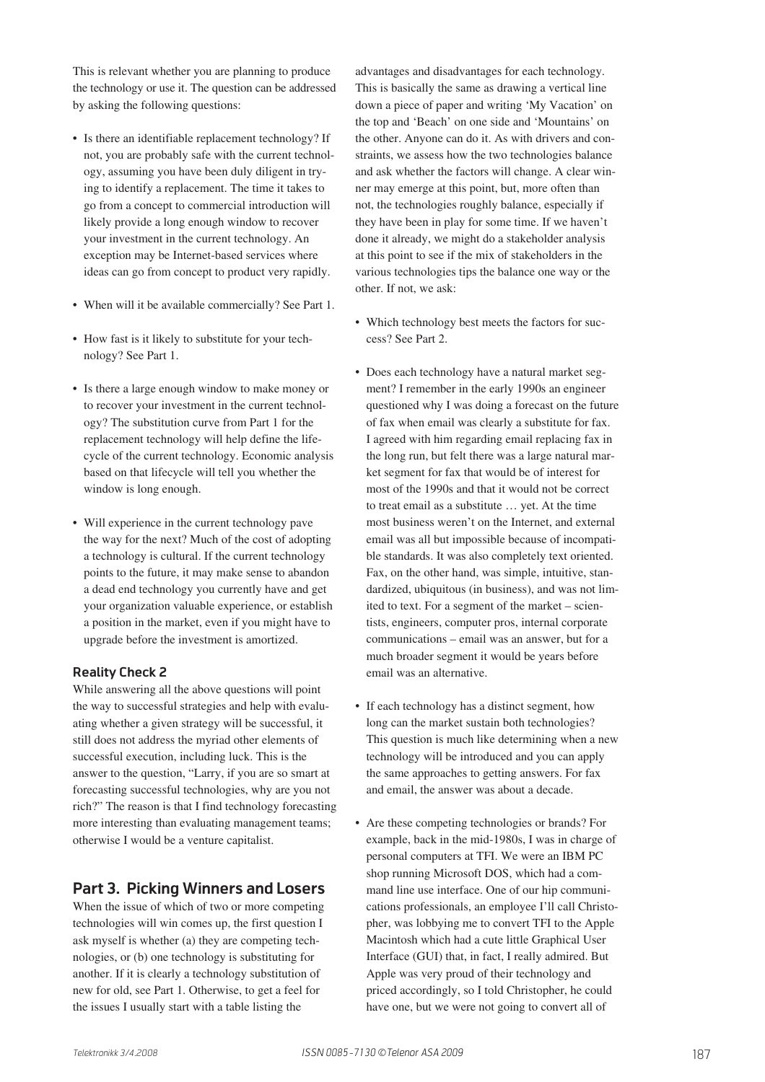This is relevant whether you are planning to produce the technology or use it. The question can be addressed by asking the following questions:

- Is there an identifiable replacement technology? If not, you are probably safe with the current technology, assuming you have been duly diligent in trying to identify a replacement. The time it takes to go from a concept to commercial introduction will likely provide a long enough window to recover your investment in the current technology. An exception may be Internet-based services where ideas can go from concept to product very rapidly.
- When will it be available commercially? See Part 1.
- How fast is it likely to substitute for your technology? See Part 1.
- Is there a large enough window to make money or to recover your investment in the current technology? The substitution curve from Part 1 for the replacement technology will help define the lifecycle of the current technology. Economic analysis based on that lifecycle will tell you whether the window is long enough.
- Will experience in the current technology pave the way for the next? Much of the cost of adopting a technology is cultural. If the current technology points to the future, it may make sense to abandon a dead end technology you currently have and get your organization valuable experience, or establish a position in the market, even if you might have to upgrade before the investment is amortized.

#### **Reality Check 2**

While answering all the above questions will point the way to successful strategies and help with evaluating whether a given strategy will be successful, it still does not address the myriad other elements of successful execution, including luck. This is the answer to the question, "Larry, if you are so smart at forecasting successful technologies, why are you not rich?" The reason is that I find technology forecasting more interesting than evaluating management teams; otherwise I would be a venture capitalist.

## **Part 3. Picking Winners and Losers**

When the issue of which of two or more competing technologies will win comes up, the first question I ask myself is whether (a) they are competing technologies, or (b) one technology is substituting for another. If it is clearly a technology substitution of new for old, see Part 1. Otherwise, to get a feel for the issues I usually start with a table listing the

advantages and disadvantages for each technology. This is basically the same as drawing a vertical line down a piece of paper and writing 'My Vacation' on the top and 'Beach' on one side and 'Mountains' on the other. Anyone can do it. As with drivers and constraints, we assess how the two technologies balance and ask whether the factors will change. A clear winner may emerge at this point, but, more often than not, the technologies roughly balance, especially if they have been in play for some time. If we haven't done it already, we might do a stakeholder analysis at this point to see if the mix of stakeholders in the various technologies tips the balance one way or the other. If not, we ask:

- Which technology best meets the factors for success? See Part 2.
- Does each technology have a natural market segment? I remember in the early 1990s an engineer questioned why I was doing a forecast on the future of fax when email was clearly a substitute for fax. I agreed with him regarding email replacing fax in the long run, but felt there was a large natural market segment for fax that would be of interest for most of the 1990s and that it would not be correct to treat email as a substitute … yet. At the time most business weren't on the Internet, and external email was all but impossible because of incompatible standards. It was also completely text oriented. Fax, on the other hand, was simple, intuitive, standardized, ubiquitous (in business), and was not limited to text. For a segment of the market – scientists, engineers, computer pros, internal corporate communications – email was an answer, but for a much broader segment it would be years before email was an alternative.
- If each technology has a distinct segment, how long can the market sustain both technologies? This question is much like determining when a new technology will be introduced and you can apply the same approaches to getting answers. For fax and email, the answer was about a decade.
- Are these competing technologies or brands? For example, back in the mid-1980s, I was in charge of personal computers at TFI. We were an IBM PC shop running Microsoft DOS, which had a command line use interface. One of our hip communications professionals, an employee I'll call Christopher, was lobbying me to convert TFI to the Apple Macintosh which had a cute little Graphical User Interface (GUI) that, in fact, I really admired. But Apple was very proud of their technology and priced accordingly, so I told Christopher, he could have one, but we were not going to convert all of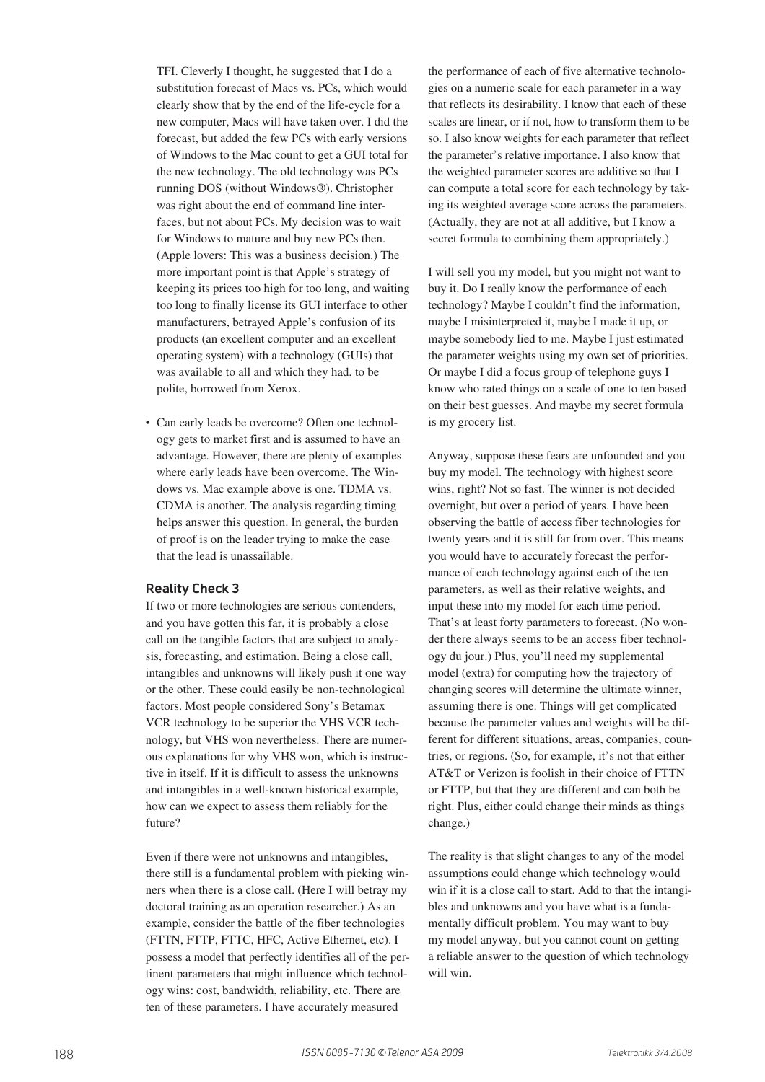TFI. Cleverly I thought, he suggested that I do a substitution forecast of Macs vs. PCs, which would clearly show that by the end of the life-cycle for a new computer, Macs will have taken over. I did the forecast, but added the few PCs with early versions of Windows to the Mac count to get a GUI total for the new technology. The old technology was PCs running DOS (without Windows®). Christopher was right about the end of command line interfaces, but not about PCs. My decision was to wait for Windows to mature and buy new PCs then. (Apple lovers: This was a business decision.) The more important point is that Apple's strategy of keeping its prices too high for too long, and waiting too long to finally license its GUI interface to other manufacturers, betrayed Apple's confusion of its products (an excellent computer and an excellent operating system) with a technology (GUIs) that was available to all and which they had, to be polite, borrowed from Xerox.

• Can early leads be overcome? Often one technology gets to market first and is assumed to have an advantage. However, there are plenty of examples where early leads have been overcome. The Windows vs. Mac example above is one. TDMA vs. CDMA is another. The analysis regarding timing helps answer this question. In general, the burden of proof is on the leader trying to make the case that the lead is unassailable.

#### **Reality Check 3**

If two or more technologies are serious contenders, and you have gotten this far, it is probably a close call on the tangible factors that are subject to analysis, forecasting, and estimation. Being a close call, intangibles and unknowns will likely push it one way or the other. These could easily be non-technological factors. Most people considered Sony's Betamax VCR technology to be superior the VHS VCR technology, but VHS won nevertheless. There are numerous explanations for why VHS won, which is instructive in itself. If it is difficult to assess the unknowns and intangibles in a well-known historical example, how can we expect to assess them reliably for the future?

Even if there were not unknowns and intangibles, there still is a fundamental problem with picking winners when there is a close call. (Here I will betray my doctoral training as an operation researcher.) As an example, consider the battle of the fiber technologies (FTTN, FTTP, FTTC, HFC, Active Ethernet, etc). I possess a model that perfectly identifies all of the pertinent parameters that might influence which technology wins: cost, bandwidth, reliability, etc. There are ten of these parameters. I have accurately measured

the performance of each of five alternative technologies on a numeric scale for each parameter in a way that reflects its desirability. I know that each of these scales are linear, or if not, how to transform them to be so. I also know weights for each parameter that reflect the parameter's relative importance. I also know that the weighted parameter scores are additive so that I can compute a total score for each technology by taking its weighted average score across the parameters. (Actually, they are not at all additive, but I know a secret formula to combining them appropriately.)

I will sell you my model, but you might not want to buy it. Do I really know the performance of each technology? Maybe I couldn't find the information, maybe I misinterpreted it, maybe I made it up, or maybe somebody lied to me. Maybe I just estimated the parameter weights using my own set of priorities. Or maybe I did a focus group of telephone guys I know who rated things on a scale of one to ten based on their best guesses. And maybe my secret formula is my grocery list.

Anyway, suppose these fears are unfounded and you buy my model. The technology with highest score wins, right? Not so fast. The winner is not decided overnight, but over a period of years. I have been observing the battle of access fiber technologies for twenty years and it is still far from over. This means you would have to accurately forecast the performance of each technology against each of the ten parameters, as well as their relative weights, and input these into my model for each time period. That's at least forty parameters to forecast. (No wonder there always seems to be an access fiber technology du jour.) Plus, you'll need my supplemental model (extra) for computing how the trajectory of changing scores will determine the ultimate winner, assuming there is one. Things will get complicated because the parameter values and weights will be different for different situations, areas, companies, countries, or regions. (So, for example, it's not that either AT&T or Verizon is foolish in their choice of FTTN or FTTP, but that they are different and can both be right. Plus, either could change their minds as things change.)

The reality is that slight changes to any of the model assumptions could change which technology would win if it is a close call to start. Add to that the intangibles and unknowns and you have what is a fundamentally difficult problem. You may want to buy my model anyway, but you cannot count on getting a reliable answer to the question of which technology will win.